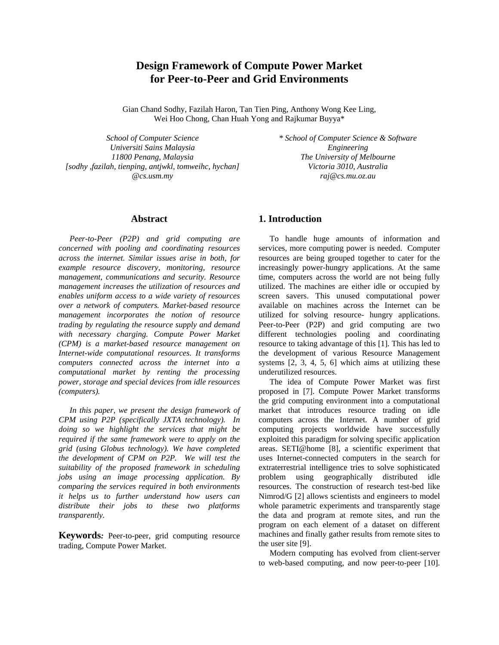# **Design Framework of Compute Power Market for Peer-to-Peer and Grid Environments**

Gian Chand Sodhy, Fazilah Haron, Tan Tien Ping, Anthony Wong Kee Ling, Wei Hoo Chong, Chan Huah Yong and Rajkumar Buyya\*

*School of Computer Science Universiti Sains Malaysia 11800 Penang, Malaysia [sodhy ,fazilah, tienping, antjwkl, tomweihc, hychan] @cs.usm.my* 

*\* School of Computer Science & Software Engineering The University of Melbourne Victoria 3010, Australia raj@cs.mu.oz.au* 

# **Abstract**

*Peer-to-Peer (P2P) and grid computing are concerned with pooling and coordinating resources across the internet. Similar issues arise in both, for example resource discovery, monitoring, resource management, communications and security. Resource management increases the utilization of resources and enables uniform access to a wide variety of resources over a network of computers. Market-based resource management incorporates the notion of resource trading by regulating the resource supply and demand with necessary charging. Compute Power Market (CPM) is a market-based resource management on Internet-wide computational resources. It transforms computers connected across the internet into a computational market by renting the processing power, storage and special devices from idle resources (computers).* 

*In this paper, we present the design framework of CPM using P2P (specifically JXTA technology). In doing so we highlight the services that might be required if the same framework were to apply on the grid (using Globus technology). We have completed the development of CPM on P2P. We will test the suitability of the proposed framework in scheduling jobs using an image processing application. By comparing the services required in both environments it helps us to further understand how users can distribute their jobs to these two platforms transparently.* 

**Keywords***:* Peer-to-peer, grid computing resource trading, Compute Power Market.

# **1. Introduction**

To handle huge amounts of information and services, more computing power is needed. Computer resources are being grouped together to cater for the increasingly power-hungry applications. At the same time, computers across the world are not being fully utilized. The machines are either idle or occupied by screen savers. This unused computational power available on machines across the Internet can be utilized for solving resource- hungry applications. Peer-to-Peer (P2P) and grid computing are two different technologies pooling and coordinating resource to taking advantage of this [1]. This has led to the development of various Resource Management systems  $[2, 3, 4, 5, 6]$  which aims at utilizing these underutilized resources.

The idea of Compute Power Market was first proposed in [7]. Compute Power Market transforms the grid computing environment into a computational market that introduces resource trading on idle computers across the Internet. A number of grid computing projects worldwide have successfully exploited this paradigm for solving specific application areas. SETI@home [8], a scientific experiment that uses Internet-connected computers in the search for extraterrestrial intelligence tries to solve sophisticated problem using geographically distributed idle resources. The construction of research test-bed like Nimrod/G [2] allows scientists and engineers to model whole parametric experiments and transparently stage the data and program at remote sites, and run the program on each element of a dataset on different machines and finally gather results from remote sites to the user site [9].

Modern computing has evolved from client-server to web-based computing, and now peer-to-peer [10].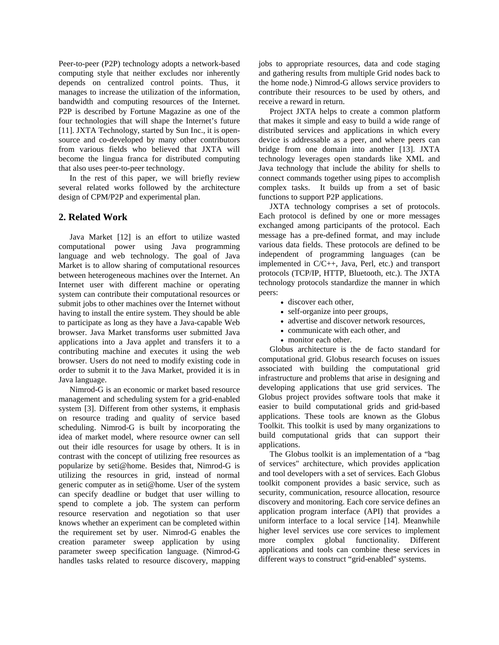Peer-to-peer (P2P) technology adopts a network-based computing style that neither excludes nor inherently depends on centralized control points. Thus, it manages to increase the utilization of the information, bandwidth and computing resources of the Internet. P2P is described by Fortune Magazine as one of the four technologies that will shape the Internet's future [11]. JXTA Technology, started by Sun Inc., it is opensource and co-developed by many other contributors from various fields who believed that JXTA will become the lingua franca for distributed computing that also uses peer-to-peer technology.

In the rest of this paper, we will briefly review several related works followed by the architecture design of CPM/P2P and experimental plan.

# **2. Related Work**

Java Market [12] is an effort to utilize wasted computational power using Java programming language and web technology. The goal of Java Market is to allow sharing of computational resources between heterogeneous machines over the Internet. An Internet user with different machine or operating system can contribute their computational resources or submit jobs to other machines over the Internet without having to install the entire system. They should be able to participate as long as they have a Java-capable Web browser. Java Market transforms user submitted Java applications into a Java applet and transfers it to a contributing machine and executes it using the web browser. Users do not need to modify existing code in order to submit it to the Java Market, provided it is in Java language.

Nimrod-G is an economic or market based resource management and scheduling system for a grid-enabled system [3]. Different from other systems, it emphasis on resource trading and quality of service based scheduling. Nimrod-G is built by incorporating the idea of market model, where resource owner can sell out their idle resources for usage by others. It is in contrast with the concept of utilizing free resources as popularize by seti@home. Besides that, Nimrod-G is utilizing the resources in grid, instead of normal generic computer as in seti@home. User of the system can specify deadline or budget that user willing to spend to complete a job. The system can perform resource reservation and negotiation so that user knows whether an experiment can be completed within the requirement set by user. Nimrod-G enables the creation parameter sweep application by using parameter sweep specification language. (Nimrod-G handles tasks related to resource discovery, mapping jobs to appropriate resources, data and code staging and gathering results from multiple Grid nodes back to the home node.) Nimrod-G allows service providers to contribute their resources to be used by others, and receive a reward in return.

Project JXTA helps to create a common platform that makes it simple and easy to build a wide range of distributed services and applications in which every device is addressable as a peer, and where peers can bridge from one domain into another [13]. JXTA technology leverages open standards like XML and Java technology that include the ability for shells to connect commands together using pipes to accomplish complex tasks. It builds up from a set of basic functions to support P2P applications.

JXTA technology comprises a set of protocols. Each protocol is defined by one or more messages exchanged among participants of the protocol. Each message has a pre-defined format, and may include various data fields. These protocols are defined to be independent of programming languages (can be implemented in C/C++, Java, Perl, etc.) and transport protocols (TCP/IP, HTTP, Bluetooth, etc.). The JXTA technology protocols standardize the manner in which peers:

- discover each other,
- self-organize into peer groups,
- advertise and discover network resources,
- communicate with each other, and
- monitor each other.

Globus architecture is the de facto standard for computational grid. Globus research focuses on issues associated with building the computational grid infrastructure and problems that arise in designing and developing applications that use grid services. The Globus project provides software tools that make it easier to build computational grids and grid-based applications. These tools are known as the Globus Toolkit. This toolkit is used by many organizations to build computational grids that can support their applications.

The Globus toolkit is an implementation of a "bag of services" architecture, which provides application and tool developers with a set of services. Each Globus toolkit component provides a basic service, such as security, communication, resource allocation, resource discovery and monitoring. Each core service defines an application program interface (API) that provides a uniform interface to a local service [14]. Meanwhile higher level services use core services to implement more complex global functionality. Different applications and tools can combine these services in different ways to construct "grid-enabled" systems.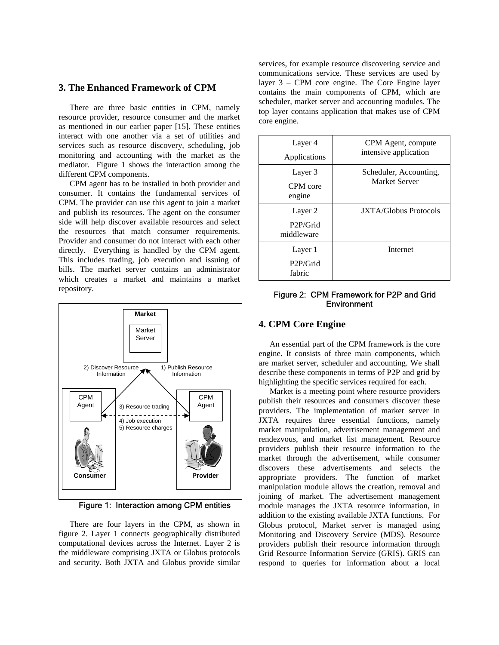# **3. The Enhanced Framework of CPM**

There are three basic entities in CPM, namely resource provider, resource consumer and the market as mentioned in our earlier paper [15]. These entities interact with one another via a set of utilities and services such as resource discovery, scheduling, job monitoring and accounting with the market as the mediator. Figure 1 shows the interaction among the different CPM components.

CPM agent has to be installed in both provider and consumer. It contains the fundamental services of CPM. The provider can use this agent to join a market and publish its resources. The agent on the consumer side will help discover available resources and select the resources that match consumer requirements. Provider and consumer do not interact with each other directly. Everything is handled by the CPM agent. This includes trading, job execution and issuing of bills. The market server contains an administrator which creates a market and maintains a market repository.



Figure 1: Interaction among CPM entities

There are four layers in the CPM, as shown in figure 2. Layer 1 connects geographically distributed computational devices across the Internet. Layer 2 is the middleware comprising JXTA or Globus protocols and security. Both JXTA and Globus provide similar

services, for example resource discovering service and communications service. These services are used by layer 3 – CPM core engine. The Core Engine layer contains the main components of CPM, which are scheduler, market server and accounting modules. The top layer contains application that makes use of CPM core engine.

| Layer 4<br>Applications                        | CPM Agent, compute<br>intensive application |
|------------------------------------------------|---------------------------------------------|
| Layer 3<br>CPM core<br>engine                  | Scheduler, Accounting,<br>Market Server     |
| Layer 2<br>P <sub>2</sub> P/Grid<br>middleware | <b>IXTA/Globus Protocols</b>                |
| Layer 1<br>P <sub>2</sub> P/Grid<br>fabric     | <b>Internet</b>                             |

Figure 2: CPM Framework for P2P and Grid **Environment** 

An essential part of the CPM framework is the core engine. It consists of three main components, which are market server, scheduler and accounting. We shall describe these components in terms of P2P and grid by highlighting the specific services required for each.

Market is a meeting point where resource providers publish their resources and consumers discover these providers. The implementation of market server in JXTA requires three essential functions, namely market manipulation, advertisement management and rendezvous, and market list management. Resource providers publish their resource information to the market through the advertisement, while consumer discovers these advertisements and selects the appropriate providers. The function of market manipulation module allows the creation, removal and joining of market. The advertisement management module manages the JXTA resource information, in addition to the existing available JXTA functions. For Globus protocol, Market server is managed using Monitoring and Discovery Service (MDS). Resource providers publish their resource information through Grid Resource Information Service (GRIS). GRIS can respond to queries for information about a local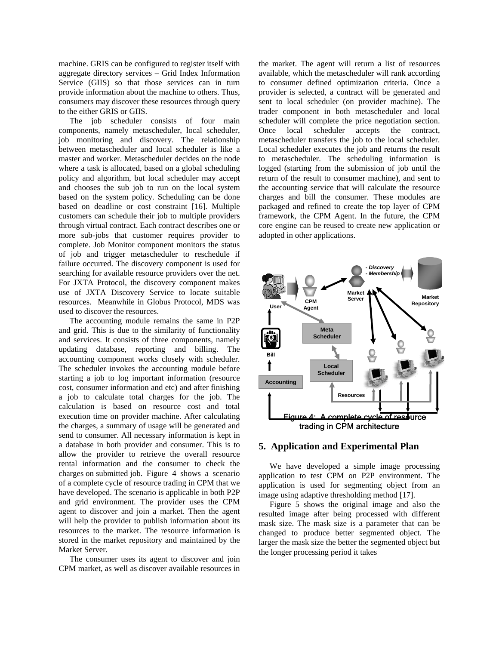machine. GRIS can be configured to register itself with aggregate directory services – Grid Index Information Service (GIIS) so that those services can in turn provide information about the machine to others. Thus, consumers may discover these resources through query to the either GRIS or GIIS.

The job scheduler consists of four main components, namely metascheduler, local scheduler, job monitoring and discovery. The relationship between metascheduler and local scheduler is like a master and worker. Metascheduler decides on the node where a task is allocated, based on a global scheduling policy and algorithm, but local scheduler may accept and chooses the sub job to run on the local system based on the system policy. Scheduling can be done based on deadline or cost constraint [16]. Multiple customers can schedule their job to multiple providers through virtual contract. Each contract describes one or more sub-jobs that customer requires provider to complete. Job Monitor component monitors the status of job and trigger metascheduler to reschedule if failure occurred. The discovery component is used for searching for available resource providers over the net. For JXTA Protocol, the discovery component makes use of JXTA Discovery Service to locate suitable resources. Meanwhile in Globus Protocol, MDS was used to discover the resources.

The accounting module remains the same in P2P and grid. This is due to the similarity of functionality and services. It consists of three components, namely updating database, reporting and billing. The accounting component works closely with scheduler. The scheduler invokes the accounting module before starting a job to log important information (resource cost, consumer information and etc) and after finishing a job to calculate total charges for the job. The calculation is based on resource cost and total execution time on provider machine. After calculating the charges, a summary of usage will be generated and send to consumer. All necessary information is kept in a database in both provider and consumer. This is to allow the provider to retrieve the overall resource rental information and the consumer to check the charges on submitted job. Figure 4 shows a scenario of a complete cycle of resource trading in CPM that we have developed. The scenario is applicable in both P2P and grid environment. The provider uses the CPM agent to discover and join a market. Then the agent will help the provider to publish information about its resources to the market. The resource information is stored in the market repository and maintained by the Market Server.

The consumer uses its agent to discover and join CPM market, as well as discover available resources in

the market. The agent will return a list of resources available, which the metascheduler will rank according to consumer defined optimization criteria. Once a provider is selected, a contract will be generated and sent to local scheduler (on provider machine). The trader component in both metascheduler and local scheduler will complete the price negotiation section. Once local scheduler accepts the contract, metascheduler transfers the job to the local scheduler. Local scheduler executes the job and returns the result to metascheduler. The scheduling information is logged (starting from the submission of job until the return of the result to consumer machine), and sent to the accounting service that will calculate the resource charges and bill the consumer. These modules are packaged and refined to create the top layer of CPM framework, the CPM Agent. In the future, the CPM core engine can be reused to create new application or adopted in other applications.



#### **5. Application and Experimental Plan**

We have developed a simple image processing application to test CPM on P2P environment. The application is used for segmenting object from an image using adaptive thresholding method [17].

Figure 5 shows the original image and also the resulted image after being processed with different mask size. The mask size is a parameter that can be changed to produce better segmented object. The larger the mask size the better the segmented object but the longer processing period it takes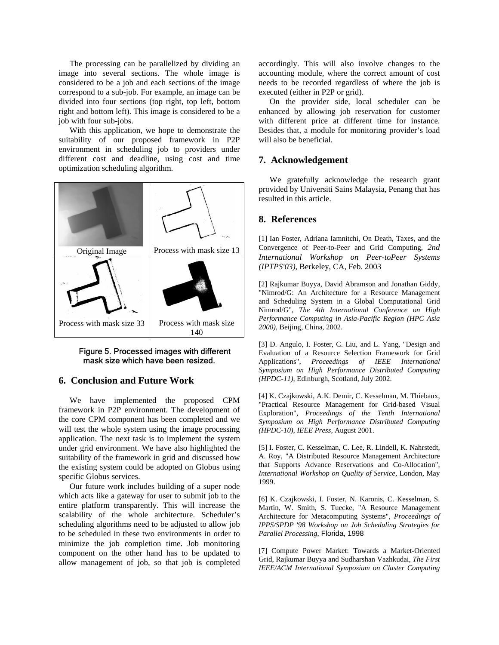The processing can be parallelized by dividing an image into several sections. The whole image is considered to be a job and each sections of the image correspond to a sub-job. For example, an image can be divided into four sections (top right, top left, bottom right and bottom left). This image is considered to be a job with four sub-jobs.

With this application, we hope to demonstrate the suitability of our proposed framework in P2P environment in scheduling job to providers under different cost and deadline, using cost and time optimization scheduling algorithm.



### Figure 5. Processed images with different mask size which have been resized.

# **6. Conclusion and Future Work**

We have implemented the proposed CPM framework in P2P environment. The development of the core CPM component has been completed and we will test the whole system using the image processing application. The next task is to implement the system under grid environment. We have also highlighted the suitability of the framework in grid and discussed how the existing system could be adopted on Globus using specific Globus services.

Our future work includes building of a super node which acts like a gateway for user to submit job to the entire platform transparently. This will increase the scalability of the whole architecture. Scheduler's scheduling algorithms need to be adjusted to allow job to be scheduled in these two environments in order to minimize the job completion time. Job monitoring component on the other hand has to be updated to allow management of job, so that job is completed accordingly. This will also involve changes to the accounting module, where the correct amount of cost needs to be recorded regardless of where the job is executed (either in P2P or grid).

On the provider side, local scheduler can be enhanced by allowing job reservation for customer with different price at different time for instance. Besides that, a module for monitoring provider's load will also be beneficial.

# **7. Acknowledgement**

We gratefully acknowledge the research grant provided by Universiti Sains Malaysia, Penang that has resulted in this article.

# **8. References**

[1] Ian Foster, Adriana Iamnitchi, On Death, Taxes, and the Convergence of Peer-to-Peer and Grid Computing, *2nd International Workshop on Peer-toPeer Systems (IPTPS'03)*, Berkeley, CA, Feb. 2003

[2] Rajkumar Buyya, David Abramson and Jonathan Giddy, "Nimrod/G: An Architecture for a Resource Management and Scheduling System in a Global Computational Grid Nimrod/G", *The 4th International Conference on High Performance Computing in Asia-Pacific Region (HPC Asia 2000),* Beijing, China, 2002.

[3] D. Angulo, I. Foster, C. Liu, and L. Yang, "Design and Evaluation of a Resource Selection Framework for Grid Applications", *Proceedings of IEEE International Symposium on High Performance Distributed Computing (HPDC-11),* Edinburgh, Scotland, July 2002.

[4] K. Czajkowski, A.K. Demir, C. Kesselman, M. Thiebaux, "Practical Resource Management for Grid-based Visual Exploration", *Proceedings of the Tenth International Symposium on High Performance Distributed Computing (HPDC-10), IEEE Press,* August 2001.

[5] I. Foster, C. Kesselman, C. Lee, R. Lindell, K. Nahrstedt, A. Roy, "A Distributed Resource Management Architecture that Supports Advance Reservations and Co-Allocation", *International Workshop on Quality of Service*, London, May 1999.

[6] K. Czajkowski, I. Foster, N. Karonis, C. Kesselman, S. Martin, W. Smith, S. Tuecke, "A Resource Management Architecture for Metacomputing Systems", *Proceedings of IPPS/SPDP '98 Workshop on Job Scheduling Strategies for Parallel Processing*, Florida, 1998

[7] Compute Power Market: Towards a Market-Oriented Grid, Rajkumar Buyya and Sudharshan Vazhkudai, *The First IEEE/ACM International Symposium on Cluster Computing*